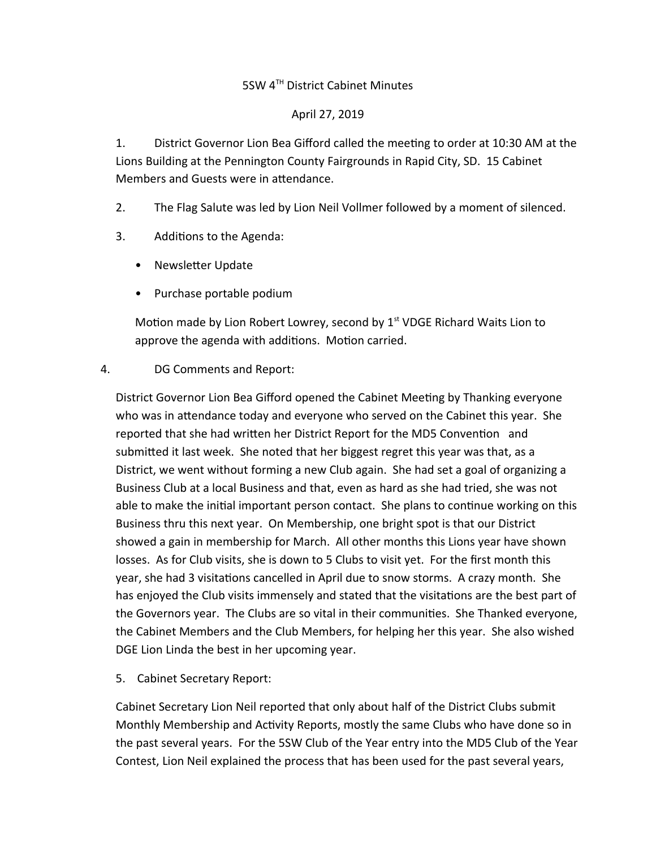# 5SW 4<sup>TH</sup> District Cabinet Minutes

#### April 27, 2019

1. District Governor Lion Bea Gifford called the meeting to order at 10:30 AM at the Lions Building at the Pennington County Fairgrounds in Rapid City, SD. 15 Cabinet Members and Guests were in attendance.

- 2. The Flag Salute was led by Lion Neil Vollmer followed by a moment of silenced.
- 3. Additions to the Agenda:
	- Newsletter Update
	- Purchase portable podium

Motion made by Lion Robert Lowrey, second by  $1<sup>st</sup>$  VDGE Richard Waits Lion to approve the agenda with additions. Motion carried.

# 4. DG Comments and Report:

District Governor Lion Bea Gifford opened the Cabinet Meeting by Thanking everyone who was in attendance today and everyone who served on the Cabinet this year. She reported that she had written her District Report for the MD5 Convention and submitted it last week. She noted that her biggest regret this year was that, as a District, we went without forming a new Club again. She had set a goal of organizing a Business Club at a local Business and that, even as hard as she had tried, she was not able to make the initial important person contact. She plans to continue working on this Business thru this next year. On Membership, one bright spot is that our District showed a gain in membership for March. All other months this Lions year have shown losses. As for Club visits, she is down to 5 Clubs to visit yet. For the first month this year, she had 3 visitations cancelled in April due to snow storms. A crazy month. She has enjoyed the Club visits immensely and stated that the visitations are the best part of the Governors year. The Clubs are so vital in their communities. She Thanked everyone, the Cabinet Members and the Club Members, for helping her this year. She also wished DGE Lion Linda the best in her upcoming year.

5. Cabinet Secretary Report:

Cabinet Secretary Lion Neil reported that only about half of the District Clubs submit Monthly Membership and Activity Reports, mostly the same Clubs who have done so in the past several years. For the 5SW Club of the Year entry into the MD5 Club of the Year Contest, Lion Neil explained the process that has been used for the past several years,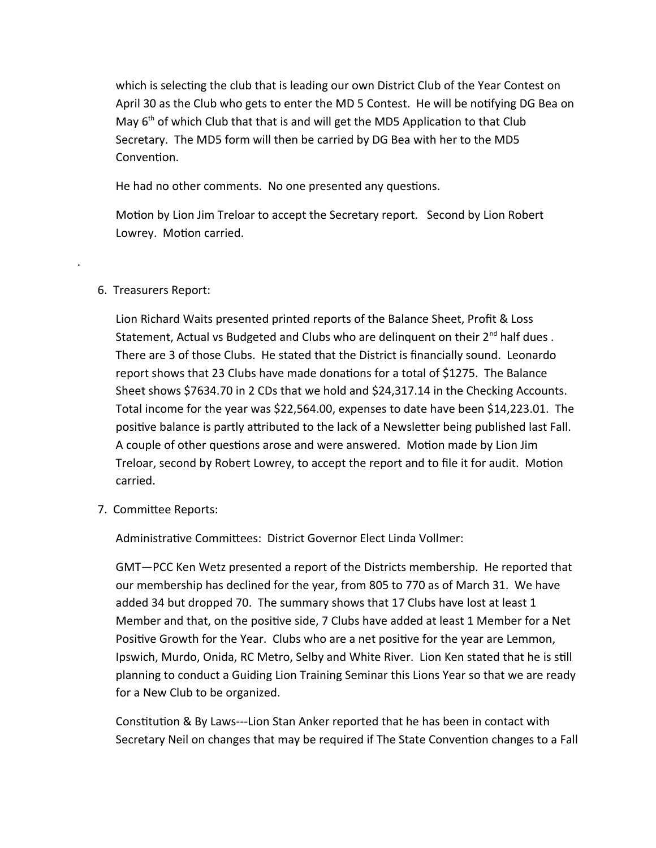which is selecting the club that is leading our own District Club of the Year Contest on April 30 as the Club who gets to enter the MD 5 Contest. He will be notifying DG Bea on May  $6<sup>th</sup>$  of which Club that that is and will get the MD5 Application to that Club Secretary. The MD5 form will then be carried by DG Bea with her to the MD5 Convention.

He had no other comments. No one presented any questions.

Motion by Lion Jim Treloar to accept the Secretary report. Second by Lion Robert Lowrey. Motion carried.

# 6. Treasurers Report:

.

Lion Richard Waits presented printed reports of the Balance Sheet, Profit & Loss Statement, Actual vs Budgeted and Clubs who are delinguent on their  $2^{nd}$  half dues. There are 3 of those Clubs. He stated that the District is financially sound. Leonardo report shows that 23 Clubs have made donations for a total of \$1275. The Balance Sheet shows \$7634.70 in 2 CDs that we hold and \$24,317.14 in the Checking Accounts. Total income for the year was \$22,564.00, expenses to date have been \$14,223.01. The positive balance is partly attributed to the lack of a Newsletter being published last Fall. A couple of other questions arose and were answered. Motion made by Lion Jim Treloar, second by Robert Lowrey, to accept the report and to file it for audit. Motion carried.

7. Committee Reports:

Administrative Committees: District Governor Elect Linda Vollmer:

GMT—PCC Ken Wetz presented a report of the Districts membership. He reported that our membership has declined for the year, from 805 to 770 as of March 31. We have added 34 but dropped 70. The summary shows that 17 Clubs have lost at least 1 Member and that, on the positive side, 7 Clubs have added at least 1 Member for a Net Positive Growth for the Year. Clubs who are a net positive for the year are Lemmon, Ipswich, Murdo, Onida, RC Metro, Selby and White River. Lion Ken stated that he is still planning to conduct a Guiding Lion Training Seminar this Lions Year so that we are ready for a New Club to be organized.

Constitution & By Laws---Lion Stan Anker reported that he has been in contact with Secretary Neil on changes that may be required if The State Convention changes to a Fall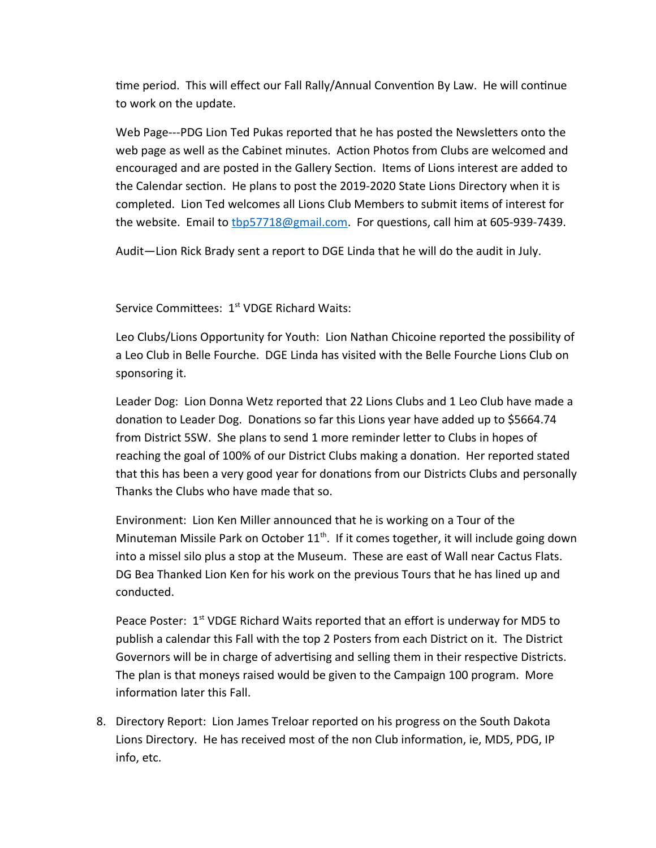time period. This will effect our Fall Rally/Annual Convention By Law. He will continue to work on the update.

Web Page---PDG Lion Ted Pukas reported that he has posted the Newsletters onto the web page as well as the Cabinet minutes. Action Photos from Clubs are welcomed and encouraged and are posted in the Gallery Section. Items of Lions interest are added to the Calendar section. He plans to post the 2019-2020 State Lions Directory when it is completed. Lion Ted welcomes all Lions Club Members to submit items of interest for the website. Email to the 1718@gmail.com. For questions, call him at 605-939-7439.

Audit—Lion Rick Brady sent a report to DGE Linda that he will do the audit in July.

Service Committees: 1<sup>st</sup> VDGE Richard Waits:

Leo Clubs/Lions Opportunity for Youth: Lion Nathan Chicoine reported the possibility of a Leo Club in Belle Fourche. DGE Linda has visited with the Belle Fourche Lions Club on sponsoring it.

Leader Dog: Lion Donna Wetz reported that 22 Lions Clubs and 1 Leo Club have made a donation to Leader Dog. Donations so far this Lions year have added up to \$5664.74 from District 5SW. She plans to send 1 more reminder letter to Clubs in hopes of reaching the goal of 100% of our District Clubs making a donation. Her reported stated that this has been a very good year for donations from our Districts Clubs and personally Thanks the Clubs who have made that so.

Environment: Lion Ken Miller announced that he is working on a Tour of the Minuteman Missile Park on October  $11<sup>th</sup>$ . If it comes together, it will include going down into a missel silo plus a stop at the Museum. These are east of Wall near Cactus Flats. DG Bea Thanked Lion Ken for his work on the previous Tours that he has lined up and conducted.

Peace Poster:  $1<sup>st</sup>$  VDGE Richard Waits reported that an effort is underway for MD5 to publish a calendar this Fall with the top 2 Posters from each District on it. The District Governors will be in charge of advertising and selling them in their respective Districts. The plan is that moneys raised would be given to the Campaign 100 program. More information later this Fall.

8. Directory Report: Lion James Treloar reported on his progress on the South Dakota Lions Directory. He has received most of the non Club information, ie, MD5, PDG, IP info, etc.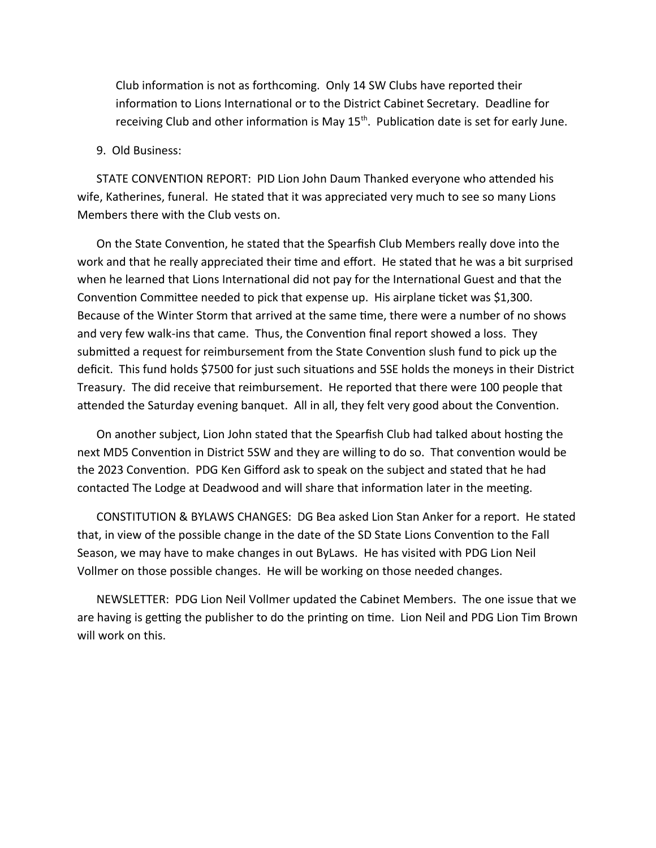Club information is not as forthcoming. Only 14 SW Clubs have reported their information to Lions International or to the District Cabinet Secretary. Deadline for receiving Club and other information is May  $15<sup>th</sup>$ . Publication date is set for early June.

#### 9. Old Business:

STATE CONVENTION REPORT: PID Lion John Daum Thanked everyone who attended his wife, Katherines, funeral. He stated that it was appreciated very much to see so many Lions Members there with the Club vests on.

On the State Convention, he stated that the Spearfish Club Members really dove into the work and that he really appreciated their time and effort. He stated that he was a bit surprised when he learned that Lions International did not pay for the International Guest and that the Convention Committee needed to pick that expense up. His airplane ticket was \$1,300. Because of the Winter Storm that arrived at the same time, there were a number of no shows and very few walk-ins that came. Thus, the Convention final report showed a loss. They submitted a request for reimbursement from the State Convention slush fund to pick up the deficit. This fund holds \$7500 for just such situations and 5SE holds the moneys in their District Treasury. The did receive that reimbursement. He reported that there were 100 people that attended the Saturday evening banquet. All in all, they felt very good about the Convention.

On another subject, Lion John stated that the Spearfish Club had talked about hosting the next MD5 Convention in District 5SW and they are willing to do so. That convention would be the 2023 Convention. PDG Ken Gifford ask to speak on the subject and stated that he had contacted The Lodge at Deadwood and will share that information later in the meeting.

CONSTITUTION & BYLAWS CHANGES: DG Bea asked Lion Stan Anker for a report. He stated that, in view of the possible change in the date of the SD State Lions Convention to the Fall Season, we may have to make changes in out ByLaws. He has visited with PDG Lion Neil Vollmer on those possible changes. He will be working on those needed changes.

NEWSLETTER: PDG Lion Neil Vollmer updated the Cabinet Members. The one issue that we are having is getting the publisher to do the printing on time. Lion Neil and PDG Lion Tim Brown will work on this.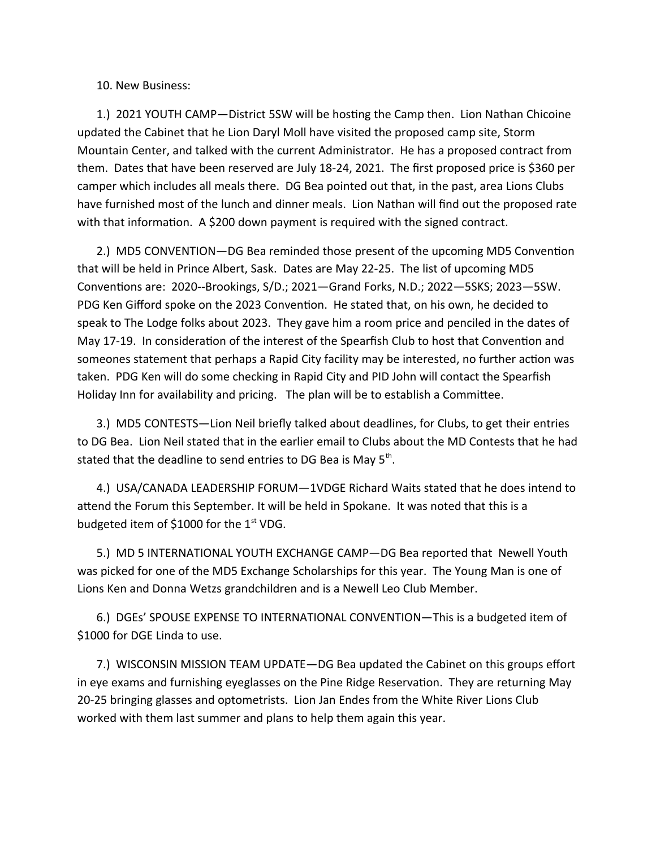10. New Business:

1.) 2021 YOUTH CAMP—District 5SW will be hosting the Camp then. Lion Nathan Chicoine updated the Cabinet that he Lion Daryl Moll have visited the proposed camp site, Storm Mountain Center, and talked with the current Administrator. He has a proposed contract from them. Dates that have been reserved are July 18-24, 2021. The first proposed price is \$360 per camper which includes all meals there. DG Bea pointed out that, in the past, area Lions Clubs have furnished most of the lunch and dinner meals. Lion Nathan will find out the proposed rate with that information. A \$200 down payment is required with the signed contract.

2.) MD5 CONVENTION—DG Bea reminded those present of the upcoming MD5 Convention that will be held in Prince Albert, Sask. Dates are May 22-25. The list of upcoming MD5 Conventions are: 2020--Brookings, S/D.; 2021—Grand Forks, N.D.; 2022—5SKS; 2023—5SW. PDG Ken Gifford spoke on the 2023 Convention. He stated that, on his own, he decided to speak to The Lodge folks about 2023. They gave him a room price and penciled in the dates of May 17-19. In consideration of the interest of the Spearfish Club to host that Convention and someones statement that perhaps a Rapid City facility may be interested, no further action was taken. PDG Ken will do some checking in Rapid City and PID John will contact the Spearfish Holiday Inn for availability and pricing. The plan will be to establish a Committee.

3.) MD5 CONTESTS—Lion Neil briefly talked about deadlines, for Clubs, to get their entries to DG Bea. Lion Neil stated that in the earlier email to Clubs about the MD Contests that he had stated that the deadline to send entries to DG Bea is May 5<sup>th</sup>.

4.) USA/CANADA LEADERSHIP FORUM—1VDGE Richard Waits stated that he does intend to attend the Forum this September. It will be held in Spokane. It was noted that this is a budgeted item of \$1000 for the  $1<sup>st</sup>$  VDG.

5.) MD 5 INTERNATIONAL YOUTH EXCHANGE CAMP—DG Bea reported that Newell Youth was picked for one of the MD5 Exchange Scholarships for this year. The Young Man is one of Lions Ken and Donna Wetzs grandchildren and is a Newell Leo Club Member.

6.) DGEs' SPOUSE EXPENSE TO INTERNATIONAL CONVENTION—This is a budgeted item of \$1000 for DGE Linda to use.

7.) WISCONSIN MISSION TEAM UPDATE—DG Bea updated the Cabinet on this groups effort in eye exams and furnishing eyeglasses on the Pine Ridge Reservation. They are returning May 20-25 bringing glasses and optometrists. Lion Jan Endes from the White River Lions Club worked with them last summer and plans to help them again this year.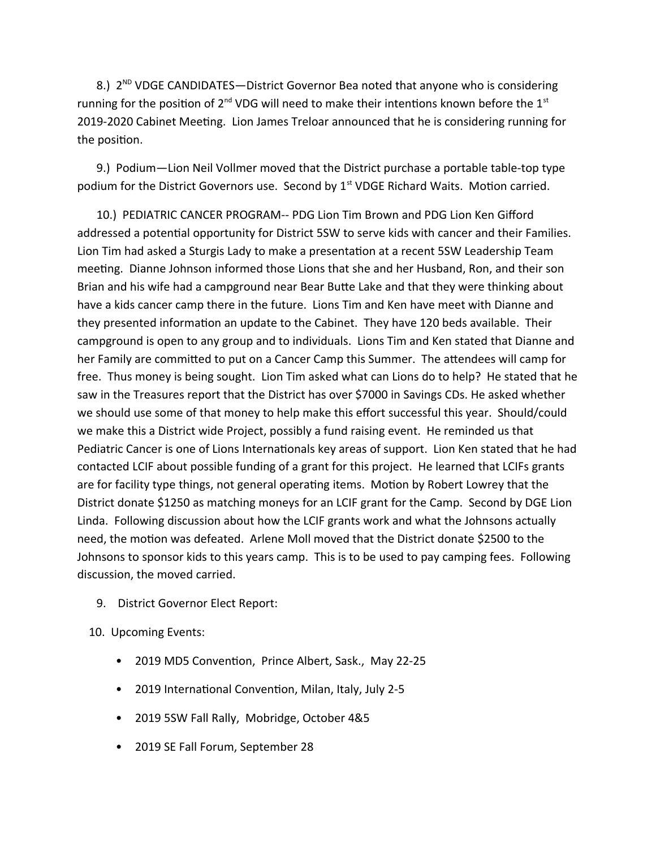8.) 2<sup>ND</sup> VDGE CANDIDATES-District Governor Bea noted that anyone who is considering running for the position of  $2^{nd}$  VDG will need to make their intentions known before the  $1^{st}$ 2019-2020 Cabinet Meeting. Lion James Treloar announced that he is considering running for the position.

9.) Podium—Lion Neil Vollmer moved that the District purchase a portable table-top type podium for the District Governors use. Second by  $1<sup>st</sup>$  VDGE Richard Waits. Motion carried.

10.) PEDIATRIC CANCER PROGRAM-- PDG Lion Tim Brown and PDG Lion Ken Gifford addressed a potential opportunity for District 5SW to serve kids with cancer and their Families. Lion Tim had asked a Sturgis Lady to make a presentation at a recent 5SW Leadership Team meeting. Dianne Johnson informed those Lions that she and her Husband, Ron, and their son Brian and his wife had a campground near Bear Butte Lake and that they were thinking about have a kids cancer camp there in the future. Lions Tim and Ken have meet with Dianne and they presented information an update to the Cabinet. They have 120 beds available. Their campground is open to any group and to individuals. Lions Tim and Ken stated that Dianne and her Family are committed to put on a Cancer Camp this Summer. The attendees will camp for free. Thus money is being sought. Lion Tim asked what can Lions do to help? He stated that he saw in the Treasures report that the District has over \$7000 in Savings CDs. He asked whether we should use some of that money to help make this effort successful this year. Should/could we make this a District wide Project, possibly a fund raising event. He reminded us that Pediatric Cancer is one of Lions Internationals key areas of support. Lion Ken stated that he had contacted LCIF about possible funding of a grant for this project. He learned that LCIFs grants are for facility type things, not general operating items. Motion by Robert Lowrey that the District donate \$1250 as matching moneys for an LCIF grant for the Camp. Second by DGE Lion Linda. Following discussion about how the LCIF grants work and what the Johnsons actually need, the motion was defeated. Arlene Moll moved that the District donate \$2500 to the Johnsons to sponsor kids to this years camp. This is to be used to pay camping fees. Following discussion, the moved carried.

- 9. District Governor Elect Report:
- 10. Upcoming Events:
	- 2019 MD5 Convention, Prince Albert, Sask., May 22-25
	- 2019 International Convention, Milan, Italy, July 2-5
	- 2019 5SW Fall Rally, Mobridge, October 4&5
	- 2019 SE Fall Forum, September 28